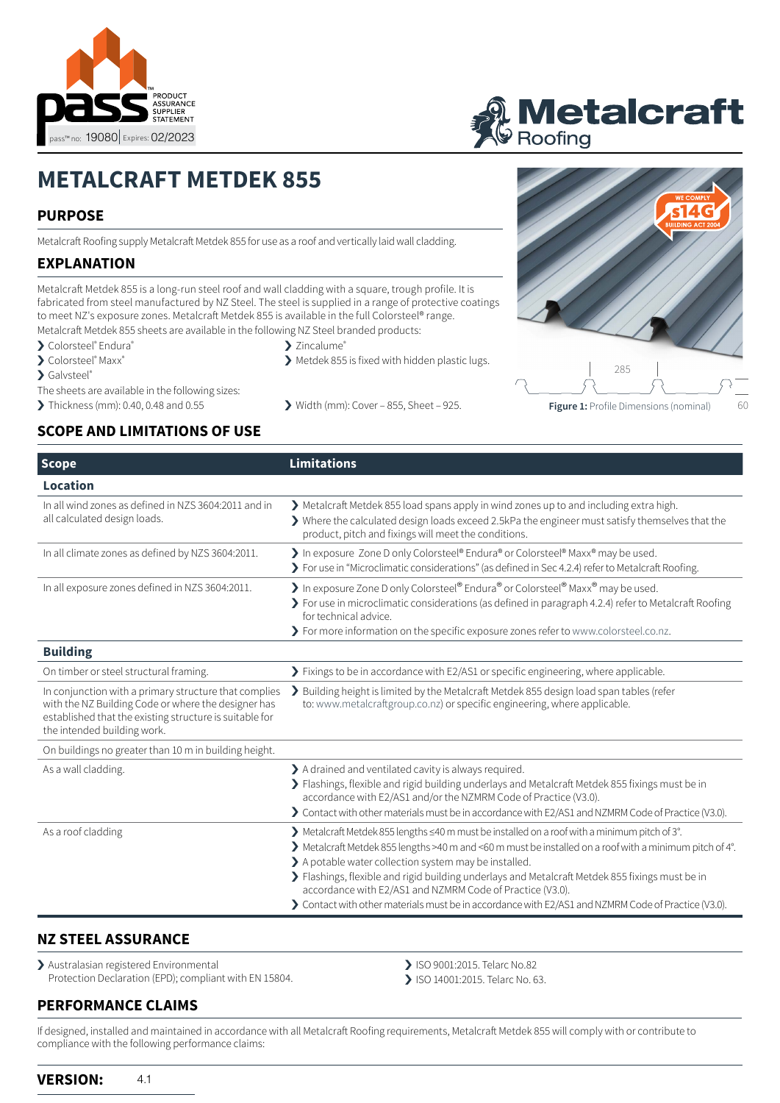



# **METALCRAFT METDEK 855**

# **PURPOSE**

Metalcraft Roofing supply Metalcraft Metdek 855 for use as a roof and vertically laid wall cladding.

## **EXPLANATION**

Metalcraft Metdek 855 is a long-run steel roof and wall cladding with a square, trough profile. It is fabricated from steel manufactured by NZ Steel. The steel is supplied in a range of protective coatings to meet NZ's exposure zones. Metalcraft Metdek 855 is available in the full Colorsteel® range.

Metalcraft Metdek 855 sheets are available in the following NZ Steel branded products: > Zincalume®

- › Colorsteel® Endura®
- > Colorsteel® Maxx®
- > Galvsteel®
- The sheets are available in the following sizes:
- 
- > Thickness (mm): 0.40, 0.48 and 0.55 > Vidth (mm): Cover 855, Sheet 925. **Figure 1:** Profile Dimensions (nominal)

› Metdek 855 is fixed with hidden plastic lugs.



#### **SCOPE AND LIMITATIONS OF USE**

| <b>Scope</b>                                                                                                                                                                                           | <b>Limitations</b>                                                                                                                                                                                                                                                                                                                                                                                                                                                                                                                       |  |
|--------------------------------------------------------------------------------------------------------------------------------------------------------------------------------------------------------|------------------------------------------------------------------------------------------------------------------------------------------------------------------------------------------------------------------------------------------------------------------------------------------------------------------------------------------------------------------------------------------------------------------------------------------------------------------------------------------------------------------------------------------|--|
| Location                                                                                                                                                                                               |                                                                                                                                                                                                                                                                                                                                                                                                                                                                                                                                          |  |
| In all wind zones as defined in NZS 3604:2011 and in<br>all calculated design loads.                                                                                                                   | > Metalcraft Metdek 855 load spans apply in wind zones up to and including extra high.<br>$\triangleright$ Where the calculated design loads exceed 2.5kPa the engineer must satisfy themselves that the<br>product, pitch and fixings will meet the conditions.                                                                                                                                                                                                                                                                         |  |
| In all climate zones as defined by NZS 3604:2011.                                                                                                                                                      | > In exposure Zone D only Colorsteel® Endura® or Colorsteel® Maxx® may be used.<br>> For use in "Microclimatic considerations" (as defined in Sec 4.2.4) refer to Metalcraft Roofing.                                                                                                                                                                                                                                                                                                                                                    |  |
| In all exposure zones defined in NZS 3604:2011.                                                                                                                                                        | > In exposure Zone D only Colorsteel® Endura® or Colorsteel® Maxx® may be used.<br>> For use in microclimatic considerations (as defined in paragraph 4.2.4) refer to Metalcraft Roofing<br>for technical advice.<br>> For more information on the specific exposure zones refer to www.colorsteel.co.nz.                                                                                                                                                                                                                                |  |
| <b>Building</b>                                                                                                                                                                                        |                                                                                                                                                                                                                                                                                                                                                                                                                                                                                                                                          |  |
| On timber or steel structural framing.                                                                                                                                                                 | > Fixings to be in accordance with E2/AS1 or specific engineering, where applicable.                                                                                                                                                                                                                                                                                                                                                                                                                                                     |  |
| In conjunction with a primary structure that complies<br>with the NZ Building Code or where the designer has<br>established that the existing structure is suitable for<br>the intended building work. | > Building height is limited by the Metalcraft Metdek 855 design load span tables (refer<br>to: www.metalcraftgroup.co.nz) or specific engineering, where applicable.                                                                                                                                                                                                                                                                                                                                                                    |  |
| On buildings no greater than 10 m in building height.                                                                                                                                                  |                                                                                                                                                                                                                                                                                                                                                                                                                                                                                                                                          |  |
| As a wall cladding.                                                                                                                                                                                    | > A drained and ventilated cavity is always required.<br>> Flashings, flexible and rigid building underlays and Metalcraft Metdek 855 fixings must be in<br>accordance with E2/AS1 and/or the NZMRM Code of Practice (V3.0).<br>> Contact with other materials must be in accordance with E2/AS1 and NZMRM Code of Practice (V3.0).                                                                                                                                                                                                      |  |
| As a roof cladding                                                                                                                                                                                     | > Metalcraft Metdek 855 lengths ≤40 m must be installed on a roof with a minimum pitch of 3°.<br>> Metalcraft Metdek 855 lengths >40 m and <60 m must be installed on a roof with a minimum pitch of 4°.<br>> A potable water collection system may be installed.<br>> Flashings, flexible and rigid building underlays and Metalcraft Metdek 855 fixings must be in<br>accordance with E2/AS1 and NZMRM Code of Practice (V3.0).<br>> Contact with other materials must be in accordance with E2/AS1 and NZMRM Code of Practice (V3.0). |  |

#### **NZ STEEL ASSURANCE**

> Australasian registered Environmental Protection Declaration (EPD); compliant with EN 15804.

#### **PERFORMANCE CLAIMS**

> ISO 9001:2015. Telarc No.82

> ISO 14001:2015. Telarc No. 63.

If designed, installed and maintained in accordance with all Metalcraft Roofing requirements, Metalcraft Metdek 855 will comply with or contribute to compliance with the following performance claims: